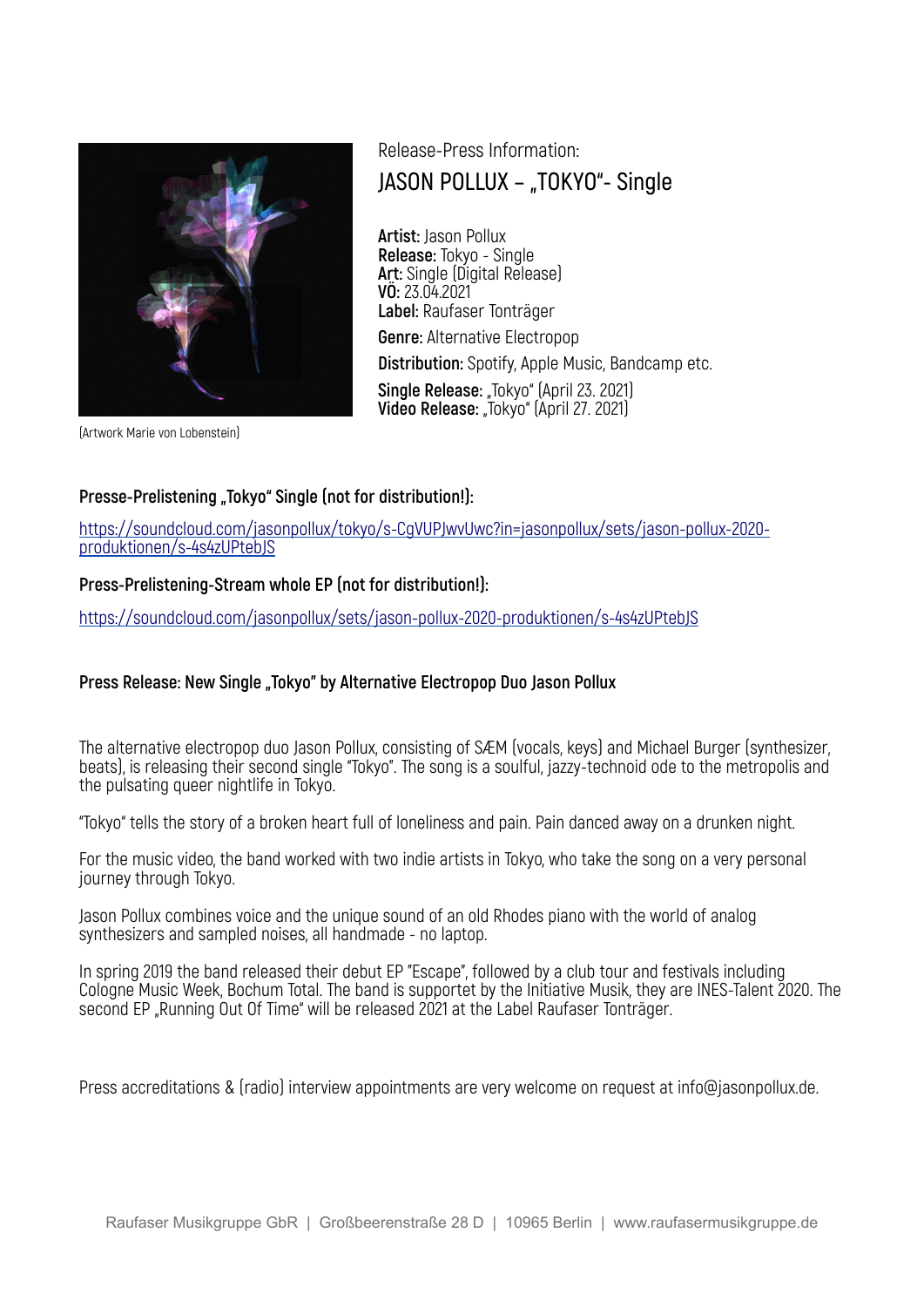

# Release-Press Information: **JASON POLLUX – "TOKYO"- Single**

**Artist:** Jason Pollux **Release:** Tokyo - Single **Art:** Single (Digital Release) **VÖ:** 23.04.2021 **Label:** Raufaser Tonträger **Genre:** Alternative Electropop **Distribution:** Spotify, Apple Music, Bandcamp etc. Single Release: "Tokyo" (April 23. 2021) **Video Release:** "Tokyo" (April 27. 2021)

(Artwork Marie von Lobenstein)

## Presse-Prelistening "Tokyo" Single (not for distribution!):

https://soundcloud.com/jasonpollux/tokyo/s-CgVUPJwvUwc?in=jasonpollux/sets/jason-pollux-2020 produktionen/s-4s4zUPtebJS

### **Press-Prelistening-Stream whole EP (not for distribution!):**

https://soundcloud.com/jasonpollux/sets/jason-pollux-2020-produktionen/s-4s4zUPtebJS

## Press Release: New Single "Tokyo" by Alternative Electropop Duo Jason Pollux

The alternative electropop duo Jason Pollux, consisting of SÆM (vocals, keys) and Michael Burger (synthesizer, beats), is releasing their second single "Tokyo". The song is a soulful, jazzy-technoid ode to the metropolis and the pulsating queer nightlife in Tokyo.

"Tokyo" tells the story of a broken heart full of loneliness and pain. Pain danced away on a drunken night.

For the music video, the band worked with two indie artists in Tokyo, who take the song on a very personal journey through Tokyo.

Jason Pollux combines voice and the unique sound of an old Rhodes piano with the world of analog synthesizers and sampled noises, all handmade - no laptop.

In spring 2019 the band released their debut EP "Escape", followed by a club tour and festivals including Cologne Music Week, Bochum Total. The band is supportet by the Initiative Musik, they are INES-Talent 2020. The second EP "Running Out Of Time" will be released 2021 at the Label Raufaser Tonträger.

Press accreditations & (radio) interview appointments are very welcome on request at info@jasonpollux.de.